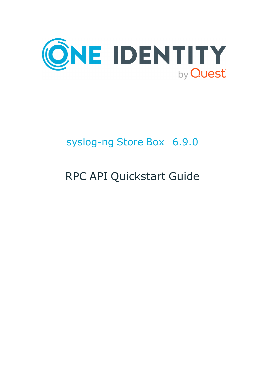

# syslog-ng Store Box 6.9.0

# RPC API Quickstart Guide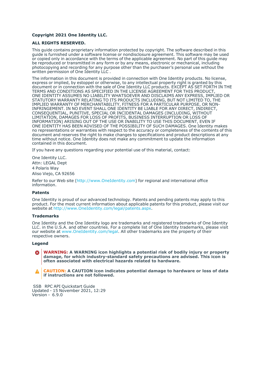#### **Copyright 2021 One Identity LLC.**

#### **ALL RIGHTS RESERVED.**

This guide contains proprietary information protected by copyright. The software described in this guide is furnished under a software license or nondisclosure agreement. This software may be used or copied only in accordance with the terms of the applicable agreement. No part of this guide may be reproduced or transmitted in any form or by any means, electronic or mechanical, including photocopying and recording for any purpose other than the purchaser's personal use without the written permission of One Identity LLC .

The information in this document is provided in connection with One Identity products. No license, express or implied, by estoppel or otherwise, to any intellectual property right is granted by this document or in connection with the sale of One Identity LLC products. EXCEPT AS SET FORTH IN THE TERMS AND CONDITIONS AS SPECIFIED IN THE LICENSE AGREEMENT FOR THIS PRODUCT, ONE IDENTITY ASSUMES NO LIABILITY WHATSOEVER AND DISCLAIMS ANY EXPRESS, IMPLIED OR STATUTORY WARRANTY RELATING TO ITS PRODUCTS INCLUDING, BUT NOT LIMITED TO, THE IMPLIED WARRANTY OF MERCHANTABILITY, FITNESS FOR A PARTICULAR PURPOSE, OR NON-INFRINGEMENT. IN NO EVENT SHALL ONE IDENTITY BE LIABLE FOR ANY DIRECT, INDIRECT, CONSEQUENTIAL, PUNITIVE, SPECIAL OR INCIDENTAL DAMAGES (INCLUDING, WITHOUT LIMITATION, DAMAGES FOR LOSS OF PROFITS, BUSINESS INTERRUPTION OR LOSS OF INFORMATION) ARISING OUT OF THE USE OR INABILITY TO USE THIS DOCUMENT, EVEN IF ONE IDENTITY HAS BEEN ADVISED OF THE POSSIBILITY OF SUCH DAMAGES. One Identity makes no representations or warranties with respect to the accuracy or completeness of the contents of this document and reserves the right to make changes to specifications and product descriptions at any time without notice. One Identity does not make any commitment to update the information contained in this document.

If you have any questions regarding your potential use of this material, contact:

One Identity LLC. Attn: LEGAL Dept 4 Polaris Way Aliso Viejo, CA 92656

Refer to our Web site [\(http://www.OneIdentity.com](http://www.oneidentity.com/)) for regional and international office information.

#### **Patents**

One Identity is proud of our advanced technology. Patents and pending patents may apply to this product. For the most current information about applicable patents for this product, please visit our website at [http://www.OneIdentity.com/legal/patents.aspx.](http://www.oneidentity.com/legal/patents.aspx)

#### **Trademarks**

One Identity and the One Identity logo are trademarks and registered trademarks of One Identity LLC. in the U.S.A. and other countries. For a complete list of One Identity trademarks, please visit our website at [www.OneIdentity.com/legal](http://www.oneidentity.com/legal). All other trademarks are the property of their respective owners.

#### **Legend**

**WARNING: A WARNING icon highlights a potential risk of bodily injury or property** œ **damage, for which industry-standard safety precautions are advised. This icon is often associated with electrical hazards related to hardware.**

**CAUTION: A CAUTION icon indicates potential damage to hardware or loss of data if instructions are not followed.**

 SSB RPC API Quickstart Guide Updated - 15 November 2021, 12:29 Version - 6.9.0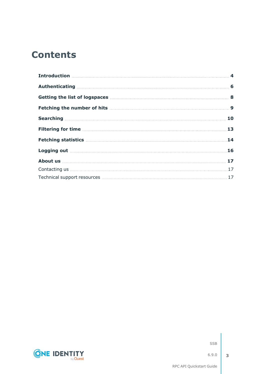### **Contents**

| Getting the list of logspaces <b>Manual</b> Constant and Setting the list of logspaces <b>Manual Constant Constant A</b> |  |
|--------------------------------------------------------------------------------------------------------------------------|--|
|                                                                                                                          |  |
|                                                                                                                          |  |
|                                                                                                                          |  |
| Fetching statistics <b>Manual</b> Line and Line and Line and Line and Line and Line and Line and Line and Line and Li    |  |
|                                                                                                                          |  |
|                                                                                                                          |  |
|                                                                                                                          |  |
|                                                                                                                          |  |



SSB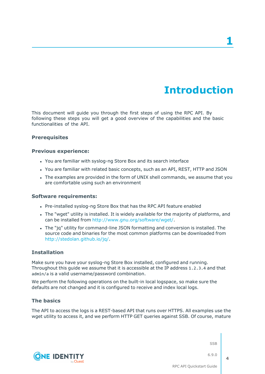## **Introduction**

<span id="page-3-0"></span>This document will guide you through the first steps of using the RPC API. By following these steps you will get a good overview of the capabilities and the basic functionalities of the API.

### **Prerequisites**

#### **Previous experience:**

- You are familiar with syslog-ng Store Box and its search interface
- You are familiar with related basic concepts, such as an API, REST, HTTP and JSON
- The examples are provided in the form of UNIX shell commands, we assume that you are comfortable using such an environment

#### **Software requirements:**

- Pre-installed syslog-ng Store Box that has the RPC API feature enabled
- The "wget" utility is installed. It is widely available for the majority of platforms, and can be installed from [http://www.gnu.org/software/wget/.](http://www.gnu.org/software/wget/)
- The "jq" utility for command-line JSON formatting and conversion is installed. The source code and binaries for the most common platforms can be downloaded from <http://stedolan.github.io/jq/>.

### **Installation**

Make sure you have your syslog-ng Store Box installed, configured and running. Throughout this guide we assume that it is accessible at the IP address 1.2.3.4 and that admin/a is a valid username/password combination.

We perform the following operations on the built-in local logspace, so make sure the defaults are not changed and it is configured to receive and index local logs.

### **The basics**

The API to access the logs is a REST-based API that runs over HTTPS. All examples use the wget utility to access it, and we perform HTTP GET queries against SSB. Of course, mature

SSB

**4**





RPC API Quickstart Guide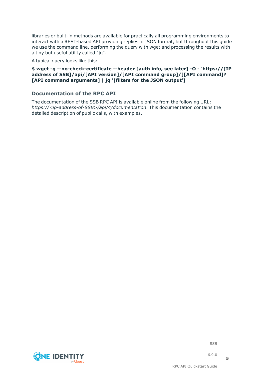libraries or built-in methods are available for practically all programming environments to interact with a REST-based API providing replies in JSON format, but throughout this guide we use the command line, performing the query with wget and processing the results with a tiny but useful utility called "jq".

A typical query looks like this:

### **\$ wget -q --no-check-certificate --header [auth info, see later] -O - 'https://[IP address of SSB]/api/[API version]/[API command group]/][API command]? [API command arguments] | jq '[filters for the JSON output']**

### **Documentation of the RPC API**

The documentation of the SSB RPC API is available online from the following URL: *https://<ip-address-of-SSB>/api/4/documentation*. This documentation contains the detailed description of public calls, with examples.



SSB

6.9.0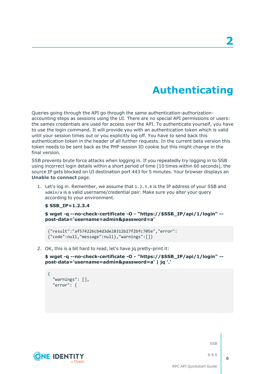# **Authenticating**

<span id="page-5-0"></span>Queries going through the API go through the same authentication-authorizationaccounting steps as sessions using the UI. There are no special API permissions or users: the sames credentials are used for access over the API. To authenticate yourself, you have to use the login command. It will provide you with an authentication token which is valid until your session times out or you explicitly log off. You have to send back this authentication token in the header of all further requests. In the current beta version this token needs to be sent back as the PHP session ID cookie but this might change in the final version.

SSB prevents brute force attacks when logging in. If you repeatedly try logging in to SSB using incorrect login details within a short period of time (10 times within 60 seconds), the source IP gets blocked on UI destination port 443 for 5 minutes. Your browser displays an **Unable to connect** page.

1. Let's log in. Remember, we assume that 1.2.3.4 is the IP address of your SSB and admin/a is a valid username/credential pair. Make sure you alter your query according to your environment.

#### **\$ SSB\_IP=1.2.3.4**

**\$ wget -q --no-check-certificate -O - "https://\$SSB\_IP/api/1/login" - post-data='username=admin&password=a'**

```
{"result":"af574226cb4d3de28312b27f2bfc705e","error":
{"code":null,"message":null},"warnings":[]}
```
2. OK, this is a bit hard to read, let's have jq pretty-print it:

**\$ wget -q --no-check-certificate -O - "https://\$SSB\_IP/api/1/login" - post-data='username=admin&password=a' | jq '.'**

```
{
  "warnings": [],
  "error": {
```


SSB

6.9.0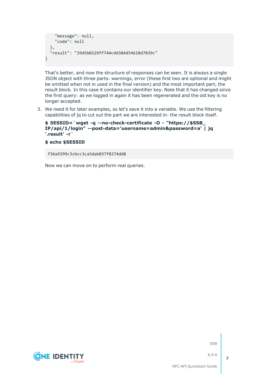```
"message": null,
    "code": null
 },
 "result": "39d5b0229ff744cdd384d54618d7039c"
}
```
That's better, and now the structure of responses can be seen. It is always a single JSON object with three parts: warnings, error (these first two are optional and might be omitted when not in used in the final version) and the most important part, the result block. In this case it contains our identifier key. Note that it has changed since the first query: as we logged in again it has been regenerated and the old key is no longer accepted.

3. We need it for later examples, so let's save it into a variable. We use the filtering capabilities of jq to cut out the part we are interested in: the result block itself.

```
$ SESSID=`wget -q --no-check-certificate -O - "https://$SSB_
IP/api/1/login" --post-data='username=admin&password=a' | jq
'.result' -r`
```
#### **\$ echo \$SESSID**

f36a9399c3cbcc3ca5dab037f8374dd8

Now we can move on to perform real queries.

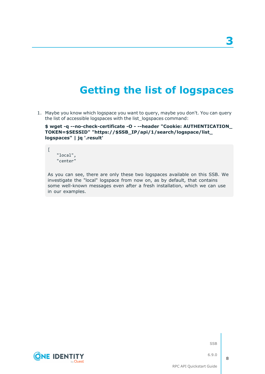# **Getting the list of logspaces**

<span id="page-7-0"></span>1. Maybe you know which logspace you want to query, maybe you don't. You can query the list of accessible logspaces with the list\_logspaces command:

**\$ wget -q --no-check-certificate -O - --header "Cookie: AUTHENTICATION\_ TOKEN=\$SESSID" "https://\$SSB\_IP/api/1/search/logspace/list\_ logspaces" | jq '.result'**

"local", "center"

 $\sqrt{ }$ 

As you can see, there are only these two logspaces available on this SSB. We investigate the "local" logspace from now on, as by default, that contains some well-known messages even after a fresh installation, which we can use in our examples.





SSB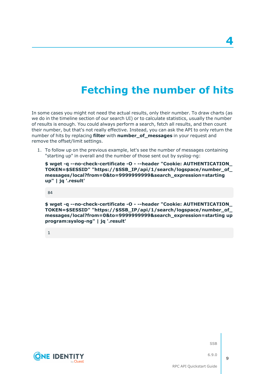# **Fetching the number of hits**

<span id="page-8-0"></span>In some cases you might not need the actual results, only their number. To draw charts (as we do in the timeline section of our search UI) or to calculate statistics, usually the number of results is enough. You could always perform a search, fetch all results, and then count their number, but that's not really effective. Instead, you can ask the API to only return the number of hits by replacing **filter** with **number\_of\_messages** in your request and remove the offset/limit settings.

1. To follow up on the previous example, let's see the number of messages containing "starting up" in overall and the number of those sent out by syslog-ng:

**\$ wget -q --no-check-certificate -O - --header "Cookie: AUTHENTICATION\_ TOKEN=\$SESSID" "https://\$SSB\_IP/api/1/search/logspace/number\_of\_ messages/local?from=0&to=9999999999&search\_expression=starting up" | jq '.result'**

84

**\$ wget -q --no-check-certificate -O - --header "Cookie: AUTHENTICATION\_ TOKEN=\$SESSID" "https://\$SSB\_IP/api/1/search/logspace/number\_of\_ messages/local?from=0&to=9999999999&search\_expression=starting up program:syslog-ng" | jq '.result'**

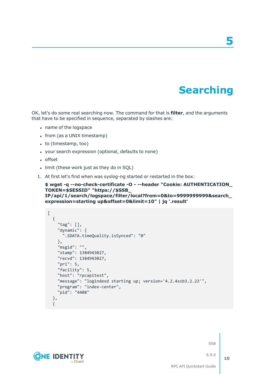# **Searching**

**5**

<span id="page-9-0"></span>OK, let's do some real searching now. The command for that is **filter**, and the arguments that have to be specified in sequence, separated by slashes are:

- name of the logspace
- from (as a UNIX timestamp)
- $\bullet$  to (timestamp, too)
- your search expression (optional, defaults to none)
- offset
- limit (these work just as they do in SQL)
- 1. At first let's find when was syslog-ng started or restarted in the box:

```
$ wget -q --no-check-certificate -O - --header "Cookie: AUTHENTICATION_
TOKEN=$SESSID" "https://$SSB_
IP/api/1/search/logspace/filter/local?from=0&to=9999999999&search_
expression=starting up&offset=0&limit=10" | jq '.result'
```

```
[
 {
    "tag": [],
    "dynamic": {
     ".SDATA.timeQuality.isSynced": "0"
   },
   "msgid": "",
   "stamp": 1384943027,
    "recvd": 1384943027,
    "pri": 5,
    "facility": 5,
    "host": "rpcapitest",
    "message": "logindexd starting up; version='4.2.4ssb3.2.23'",
    "program": "index-center",
   "pid": "4408"
 },
 {
```
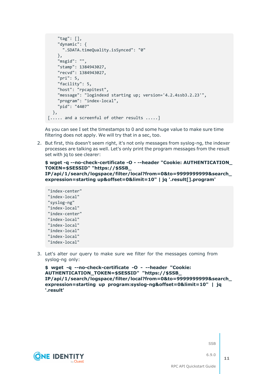```
"tag": [],
    "dynamic": {
      ".SDATA.timeQuality.isSynced": "0"
    },
    "msgid": "",
    "stamp": 1384943027,
    "recvd": 1384943027,
    "pri": 5,
    "facility": 5,
    "host": "rpcapitest",
    "message": "logindexd starting up; version='4.2.4ssb3.2.23'",
    "program": "index-local",
    "pid": "4407"
 },
[..... and a screenful of other results .....]
```
As you can see I set the timestamps to 0 and some huge value to make sure time filtering does not apply. We will try that in a sec, too.

2. But first, this doesn't seem right, it's not only messages from syslog-ng, the indexer processes are talking as well. Let's only print the program messages from the result set with jq to see clearer:

### **\$ wget -q --no-check-certificate -O - --header "Cookie: AUTHENTICATION\_ TOKEN=\$SESSID" "https://\$SSB\_**

**IP/api/1/search/logspace/filter/local?from=0&to=9999999999&search\_ expression=starting up&offset=0&limit=10" | jq '.result[].program'**

```
"index-center"
"index-local"
"syslog-ng"
"index-local"
"index-center"
"index-local"
"index-local"
"index-local"
"index-local"
"index-local"
```
3. Let's alter our query to make sure we filter for the messages coming from syslog-ng only:

```
$ wget -q --no-check-certificate -O - --header "Cookie:
AUTHENTICATION_TOKEN=$SESSID" "https://$SSB_
IP/api/1/search/logspace/filter/local?from=0&to=9999999999&search_
expression=starting up program:syslog-ng&offset=0&limit=10" | jq
'.result'
```
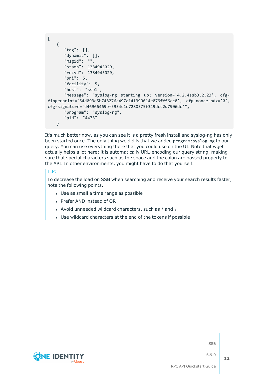```
\lceil{
      "tag": [],
      "dynamic": [],
      "msgid": "",
      "stamp": 1384943029,
      "recvd": 1384943029,
      "pri": 5,
      "facility": 5,
      "host": "ssb1",
      "message": "syslog-ng starting up; version='4.2.4ssb3.2.23', cfg-
fingerprint='54d093e5b748276c497a141390614e079fff6cc0', cfg-nonce-ndx='0',
cfg-signature='d46966469bf5934c1c7280375f349dcc2d7906dc'",
      "program": "syslog-ng",
      "pid": "4433"
   }
```
It's much better now, as you can see it is a pretty fresh install and syslog-ng has only been started once. The only thing we did is that we added program:syslog-ng to our query. You can use everything there that you could use on the UI. Note that wget actually helps a lot here: it is automatically URL-encoding our query string, making sure that special characters such as the space and the colon are passed properly to the API. In other environments, you might have to do that yourself.

### TIP:

To decrease the load on SSB when searching and receive your search results faster, note the following points.

- Use as small a time range as possible
- Prefer AND instead of OR
- Avoid unneeded wildcard characters, such as  $*$  and ?
- Use wildcard characters at the end of the tokens if possible

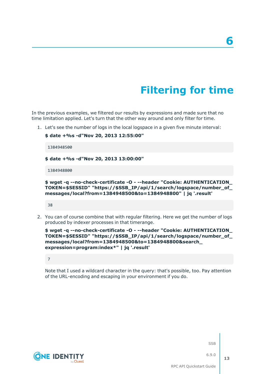# **Filtering for time**

<span id="page-12-0"></span>In the previous examples, we filtered our results by expressions and made sure that no time limitation applied. Let's turn that the other way around and only filter for time.

1. Let's see the number of logs in the local logspace in a given five minute interval:

```
$ date +%s -d"Nov 20, 2013 12:55:00"
 1384948500
$ date +%s -d"Nov 20, 2013 13:00:00"
1384948800
```

```
$ wget -q --no-check-certificate -O - --header "Cookie: AUTHENTICATION_
TOKEN=$SESSID" "https://$SSB_IP/api/1/search/logspace/number_of_
messages/local?from=1384948500&to=1384948800" | jq '.result'
```
38

2. You can of course combine that with regular filtering. Here we get the number of logs produced by indexer processes in that timerange.

```
$ wget -q --no-check-certificate -O - --header "Cookie: AUTHENTICATION_
TOKEN=$SESSID" "https://$SSB_IP/api/1/search/logspace/number_of_
messages/local?from=1384948500&to=1384948800&search_
expression=program:index*" | jq '.result'
```
7

Note that I used a wildcard character in the query: that's possible, too. Pay attention of the URL-encoding and escaping in your environment if you do.

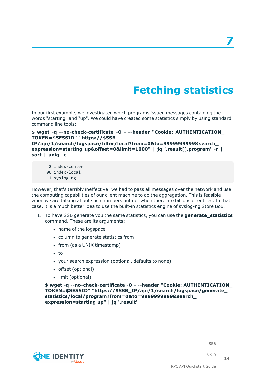# **Fetching statistics**

<span id="page-13-0"></span>In our first example, we investigated which programs issued messages containing the words "starting" and "up". We could have created some statistics simply by using standard command line tools:

### **\$ wget -q --no-check-certificate -O - --header "Cookie: AUTHENTICATION\_ TOKEN=\$SESSID" "https://\$SSB\_**

**IP/api/1/search/logspace/filter/local?from=0&to=9999999999&search\_ expression=starting up&offset=0&limit=1000" | jq '.result[].program' -r | sort | uniq -c**

- 2 index-center
- 96 index-local
- 1 syslog-ng

However, that's terribly ineffective: we had to pass all messages over the network and use the computing capabilities of our client machine to do the aggregation. This is feasible when we are talking about such numbers but not when there are billions of entries. In that case, it is a much better idea to use the built-in statistics engine of syslog-ng Store Box.

- 1. To have SSB generate you the same statistics, you can use the **generate\_statistics** command. These are its arguments:
	- name of the logspace
	- column to generate statistics from
	- from (as a UNIX timestamp)
	- $\cdot$  to
	- your search expression (optional, defaults to none)
	- offset (optional)
	- limit (optional)

**\$ wget -q --no-check-certificate -O - --header "Cookie: AUTHENTICATION\_ TOKEN=\$SESSID" "https://\$SSB\_IP/api/1/search/logspace/generate\_ statistics/local/program?from=0&to=9999999999&search\_ expression=starting up" | jq '.result'**





6.9.0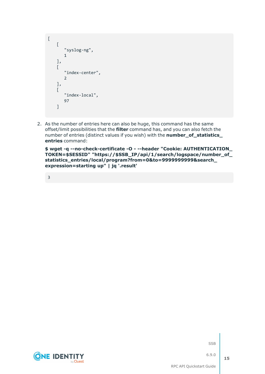```
\overline{[}\lceil"syslog-ng",
         1
     ],
     \sqrt{ }"index-center",
          2
     ],
     \sqrt{ }"index-local",
         97
     ]
```
2. As the number of entries here can also be huge, this command has the same offset/limit possibilities that the **filter** command has, and you can also fetch the number of entries (distinct values if you wish) with the **number\_of\_statistics\_ entries** command:

**\$ wget -q --no-check-certificate -O - --header "Cookie: AUTHENTICATION\_ TOKEN=\$SESSID" "https://\$SSB\_IP/api/1/search/logspace/number\_of\_ statistics\_entries/local/program?from=0&to=9999999999&search\_ expression=starting up" | jq '.result'**

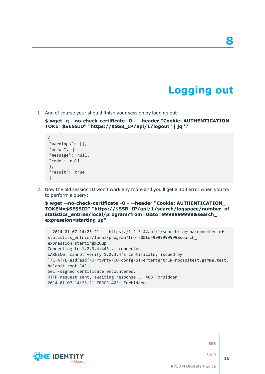## **Logging out**

**8**

<span id="page-15-0"></span>1. And of course your should finish your session by logging out:

**\$ wget -q --no-check-certificate -O - --header "Cookie: AUTHENTICATION\_ TOKE=\$SESSID" "https://\$SSB\_IP/api/1/logout" | jq '.'**

```
{
"warnings": [],
"error": {
"message": null,
"code": null
},
"result": true
}
```
2. Now the old session ID won't work any more and you'll get a 403 error when you try to perform a query:

**\$ wget --no-check-certificate -O - --header "Cookie: AUTHENTICATION\_ TOKEN=\$SESSID" "https://\$SSB\_IP/api/1/search/logspace/number\_of\_ statistics\_entries/local/program?from=0&to=9999999999&search\_ expression=starting up"**

```
--2014-01-07 14:25:21-- https://1.2.3.4/api/1/search/logspace/number_of_
statistics_entries/local/program?from=0&to=9999999999&search_
expression=starting%20up
Connecting to 1.2.3.4:443... connected.
WARNING: cannot verify 1.2.3.4's certificate, issued by
`/C=AT/L=asdfasdf/O=rtyrty/OU=cbdfg/ST=ertertert/CN=rpcapitest.gamma.test.
balabit root CA':
Self-signed certificate encountered.
HTTP request sent, awaiting response... 403 Forbidden
2014-01-07 14:25:21 ERROR 403: Forbidden.
```